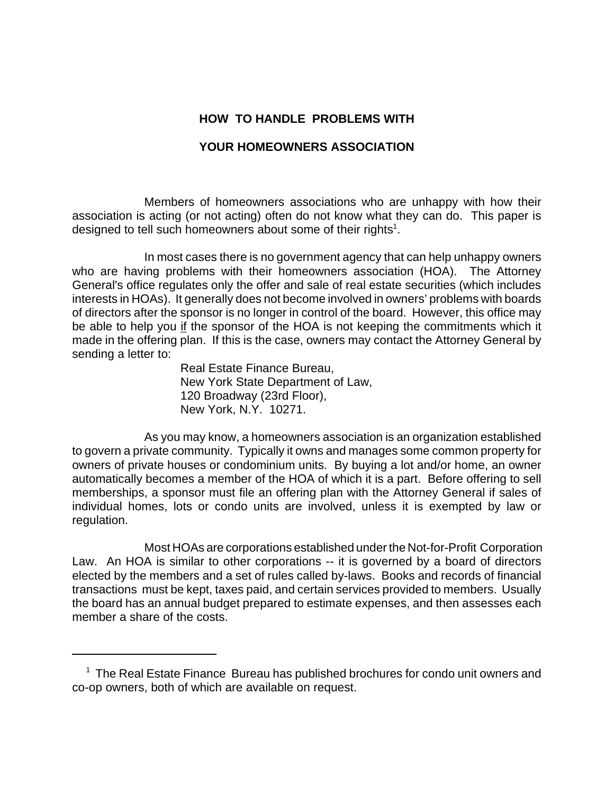# **HOW TO HANDLE PROBLEMS WITH**

# **YOUR HOMEOWNERS ASSOCIATION**

Members of homeowners associations who are unhappy with how their association is acting (or not acting) often do not know what they can do. This paper is designed to tell such homeowners about some of their rights $^1$ .

In most cases there is no government agency that can help unhappy owners who are having problems with their homeowners association (HOA). The Attorney General's office regulates only the offer and sale of real estate securities (which includes interests in HOAs). It generally does not become involved in owners' problems with boards of directors after the sponsor is no longer in control of the board. However, this office may be able to help you if the sponsor of the HOA is not keeping the commitments which it made in the offering plan. If this is the case, owners may contact the Attorney General by sending a letter to:

Real Estate Finance Bureau, New York State Department of Law, 120 Broadway (23rd Floor), New York, N.Y. 10271.

As you may know, a homeowners association is an organization established to govern a private community. Typically it owns and manages some common property for owners of private houses or condominium units. By buying a lot and/or home, an owner automatically becomes a member of the HOA of which it is a part. Before offering to sell memberships, a sponsor must file an offering plan with the Attorney General if sales of individual homes, lots or condo units are involved, unless it is exempted by law or regulation.

 Most HOAs are corporations established under the Not-for-Profit Corporation Law. An HOA is similar to other corporations -- it is governed by a board of directors elected by the members and a set of rules called by-laws. Books and records of financial transactions must be kept, taxes paid, and certain services provided to members. Usually the board has an annual budget prepared to estimate expenses, and then assesses each member a share of the costs.

<sup>&</sup>lt;sup>1</sup> The Real Estate Finance Bureau has published brochures for condo unit owners and co-op owners, both of which are available on request.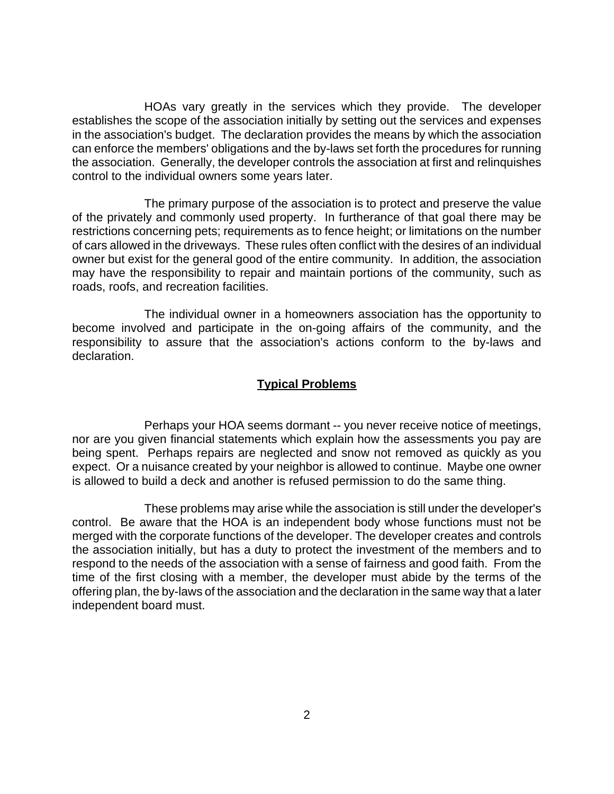HOAs vary greatly in the services which they provide. The developer establishes the scope of the association initially by setting out the services and expenses in the association's budget. The declaration provides the means by which the association can enforce the members' obligations and the by-laws set forth the procedures for running the association. Generally, the developer controls the association at first and relinquishes control to the individual owners some years later.

The primary purpose of the association is to protect and preserve the value of the privately and commonly used property. In furtherance of that goal there may be restrictions concerning pets; requirements as to fence height; or limitations on the number of cars allowed in the driveways. These rules often conflict with the desires of an individual owner but exist for the general good of the entire community. In addition, the association may have the responsibility to repair and maintain portions of the community, such as roads, roofs, and recreation facilities.

The individual owner in a homeowners association has the opportunity to become involved and participate in the on-going affairs of the community, and the responsibility to assure that the association's actions conform to the by-laws and declaration.

#### **Typical Problems**

Perhaps your HOA seems dormant -- you never receive notice of meetings, nor are you given financial statements which explain how the assessments you pay are being spent. Perhaps repairs are neglected and snow not removed as quickly as you expect. Or a nuisance created by your neighbor is allowed to continue. Maybe one owner is allowed to build a deck and another is refused permission to do the same thing.

These problems may arise while the association is still under the developer's control. Be aware that the HOA is an independent body whose functions must not be merged with the corporate functions of the developer. The developer creates and controls the association initially, but has a duty to protect the investment of the members and to respond to the needs of the association with a sense of fairness and good faith. From the time of the first closing with a member, the developer must abide by the terms of the offering plan, the by-laws of the association and the declaration in the same way that a later independent board must.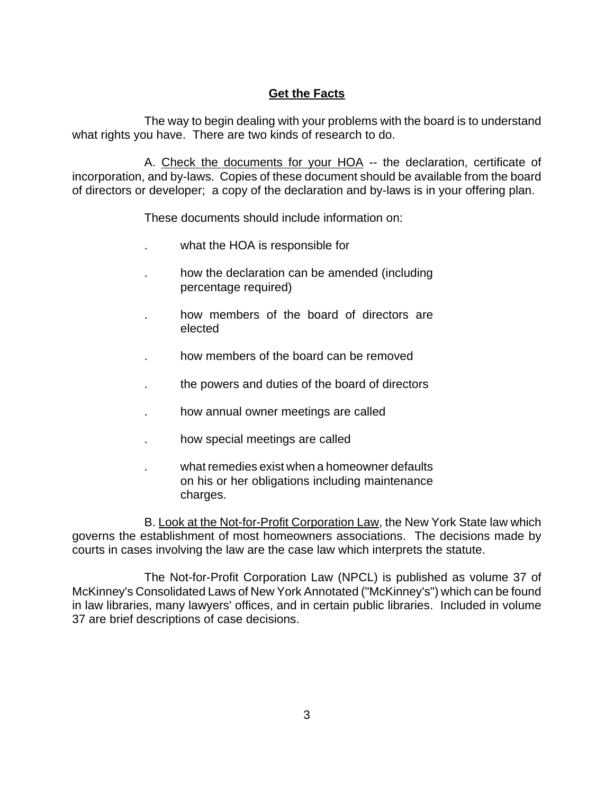## **Get the Facts**

The way to begin dealing with your problems with the board is to understand what rights you have. There are two kinds of research to do.

A. Check the documents for your HOA -- the declaration, certificate of incorporation, and by-laws. Copies of these document should be available from the board of directors or developer; a copy of the declaration and by-laws is in your offering plan.

These documents should include information on:

- what the HOA is responsible for
- . how the declaration can be amended (including percentage required)
- . how members of the board of directors are elected
- . how members of the board can be removed
- . the powers and duties of the board of directors
- . how annual owner meetings are called
- . how special meetings are called
- . what remedies exist when a homeowner defaults on his or her obligations including maintenance charges.

B. Look at the Not-for-Profit Corporation Law, the New York State law which governs the establishment of most homeowners associations. The decisions made by courts in cases involving the law are the case law which interprets the statute.

The Not-for-Profit Corporation Law (NPCL) is published as volume 37 of McKinney's Consolidated Laws of New York Annotated ("McKinney's") which can be found in law libraries, many lawyers' offices, and in certain public libraries. Included in volume 37 are brief descriptions of case decisions.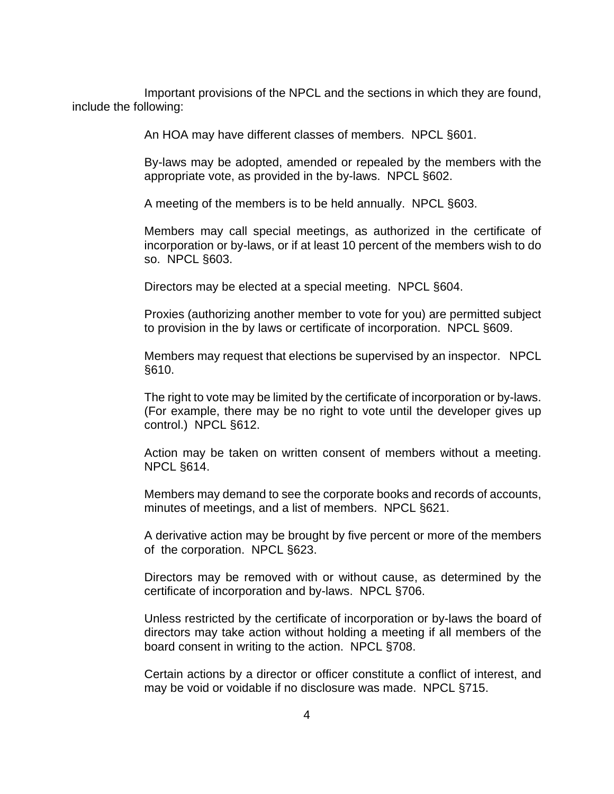Important provisions of the NPCL and the sections in which they are found, include the following:

An HOA may have different classes of members. NPCL §601.

 By-laws may be adopted, amended or repealed by the members with the appropriate vote, as provided in the by-laws. NPCL §602.

A meeting of the members is to be held annually. NPCL §603.

Members may call special meetings, as authorized in the certificate of incorporation or by-laws, or if at least 10 percent of the members wish to do so. NPCL §603.

Directors may be elected at a special meeting. NPCL §604.

Proxies (authorizing another member to vote for you) are permitted subject to provision in the by laws or certificate of incorporation. NPCL §609.

Members may request that elections be supervised by an inspector. NPCL §610.

The right to vote may be limited by the certificate of incorporation or by-laws. (For example, there may be no right to vote until the developer gives up control.) NPCL §612.

Action may be taken on written consent of members without a meeting. NPCL §614.

Members may demand to see the corporate books and records of accounts, minutes of meetings, and a list of members. NPCL §621.

A derivative action may be brought by five percent or more of the members of the corporation. NPCL §623.

Directors may be removed with or without cause, as determined by the certificate of incorporation and by-laws. NPCL §706.

Unless restricted by the certificate of incorporation or by-laws the board of directors may take action without holding a meeting if all members of the board consent in writing to the action. NPCL §708.

Certain actions by a director or officer constitute a conflict of interest, and may be void or voidable if no disclosure was made. NPCL §715.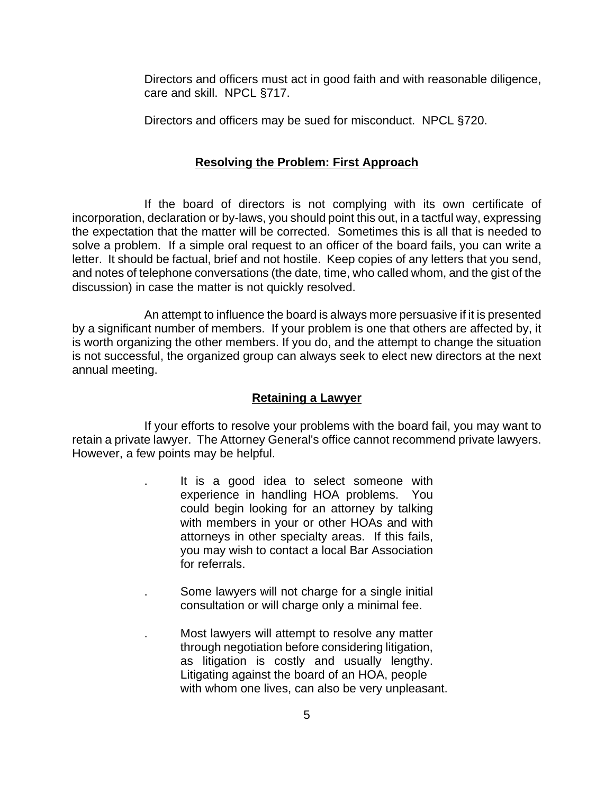Directors and officers must act in good faith and with reasonable diligence, care and skill. NPCL §717.

Directors and officers may be sued for misconduct. NPCL §720.

#### **Resolving the Problem: First Approach**

If the board of directors is not complying with its own certificate of incorporation, declaration or by-laws, you should point this out, in a tactful way, expressing the expectation that the matter will be corrected. Sometimes this is all that is needed to solve a problem. If a simple oral request to an officer of the board fails, you can write a letter. It should be factual, brief and not hostile. Keep copies of any letters that you send, and notes of telephone conversations (the date, time, who called whom, and the gist of the discussion) in case the matter is not quickly resolved.

An attempt to influence the board is always more persuasive if it is presented by a significant number of members. If your problem is one that others are affected by, it is worth organizing the other members. If you do, and the attempt to change the situation is not successful, the organized group can always seek to elect new directors at the next annual meeting.

#### **Retaining a Lawyer**

If your efforts to resolve your problems with the board fail, you may want to retain a private lawyer. The Attorney General's office cannot recommend private lawyers. However, a few points may be helpful.

- It is a good idea to select someone with experience in handling HOA problems. You could begin looking for an attorney by talking with members in your or other HOAs and with attorneys in other specialty areas. If this fails, you may wish to contact a local Bar Association for referrals.
- . Some lawyers will not charge for a single initial consultation or will charge only a minimal fee.
- . Most lawyers will attempt to resolve any matter through negotiation before considering litigation, as litigation is costly and usually lengthy. Litigating against the board of an HOA, people with whom one lives, can also be very unpleasant.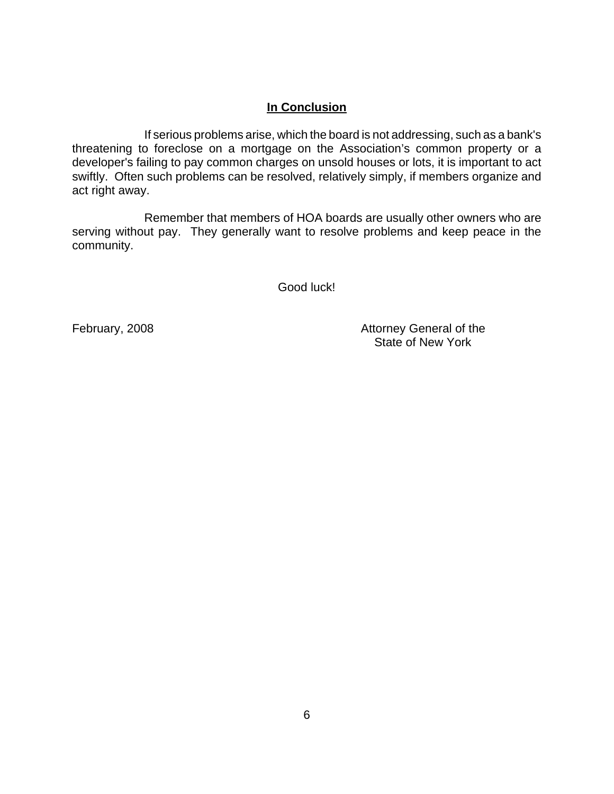## **In Conclusion**

If serious problems arise, which the board is not addressing, such as a bank's threatening to foreclose on a mortgage on the Association's common property or a developer's failing to pay common charges on unsold houses or lots, it is important to act swiftly. Often such problems can be resolved, relatively simply, if members organize and act right away.

Remember that members of HOA boards are usually other owners who are serving without pay. They generally want to resolve problems and keep peace in the community.

Good luck!

February, 2008 **Attorney General of the** State of New York